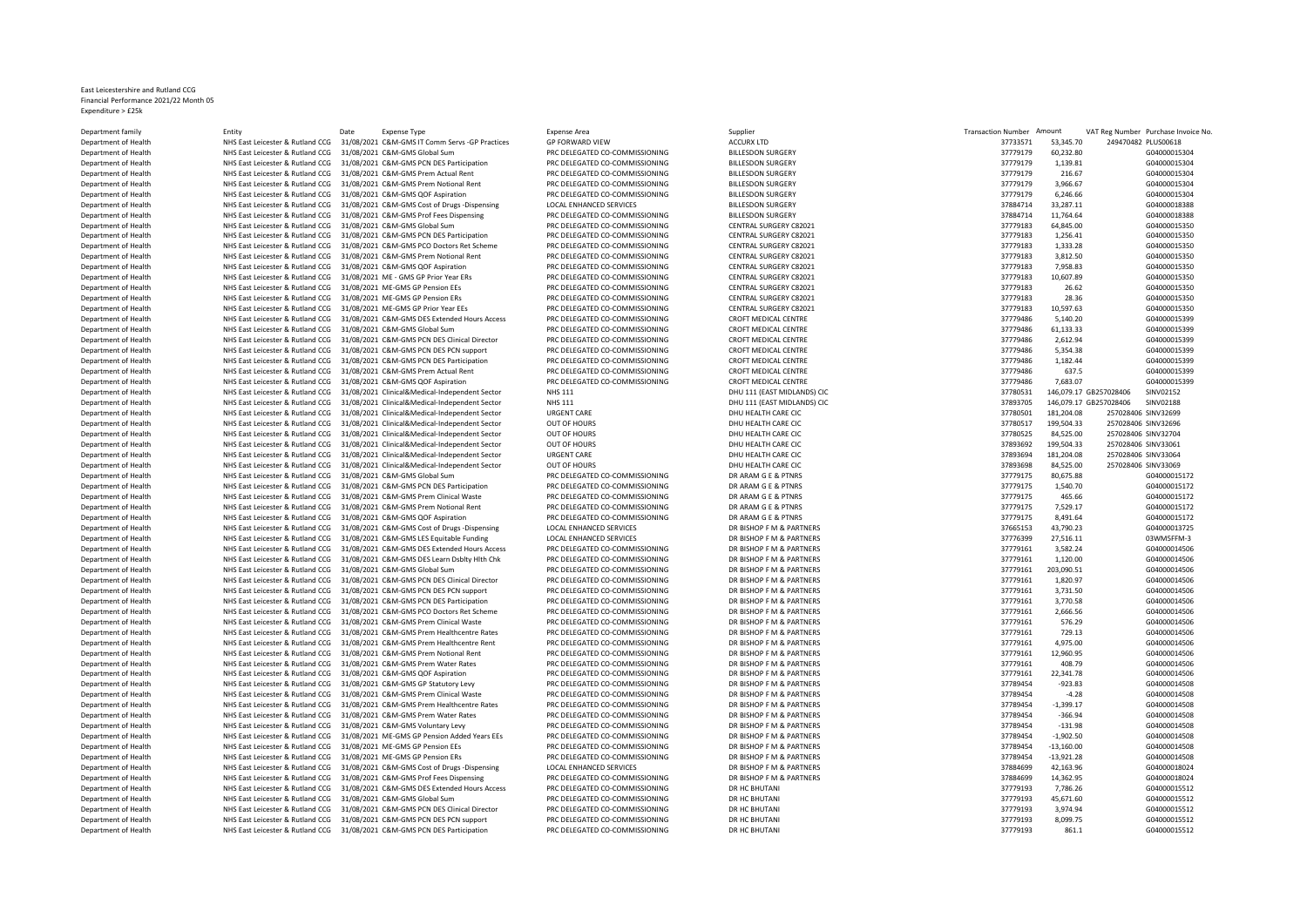## East Leicestershire and Rutland CCG Financial Performance 2021/22 Month 05 Expenditure > £25k

| Department of Health |                                  | 31/08/2021 C&M-GMS IT Comm Servs -GP Practices                                | <b>GP FORWARD VIEW</b>         | <b>ACCURX LTD</b>           | 37733571 |              | 249470482 PLUS00618                 |
|----------------------|----------------------------------|-------------------------------------------------------------------------------|--------------------------------|-----------------------------|----------|--------------|-------------------------------------|
|                      | NHS East Leicester & Rutland CCG |                                                                               |                                |                             |          | 53,345.70    |                                     |
| Department of Health | NHS East Leicester & Rutland CCG | 31/08/2021 C&M-GMS Global Sum                                                 | PRC DELEGATED CO-COMMISSIONING | <b>BILLESDON SURGERY</b>    | 37779179 | 60,232.80    | G04000015304                        |
| Department of Health | NHS East Leicester & Rutland CCG | 31/08/2021 C&M-GMS PCN DES Participation                                      | PRC DELEGATED CO-COMMISSIONING | <b>BILLESDON SURGERY</b>    | 37779179 | 1,139.81     | G04000015304                        |
| Department of Health | NHS East Leicester & Rutland CCG | 31/08/2021 C&M-GMS Prem Actual Rent                                           | PRC DELEGATED CO-COMMISSIONING | <b>BILLESDON SURGERY</b>    | 37779179 | 216.67       | G04000015304                        |
| Department of Health | NHS East Leicester & Rutland CCG | 31/08/2021 C&M-GMS Prem Notional Rent                                         | PRC DELEGATED CO-COMMISSIONING | <b>BILLESDON SURGERY</b>    | 37779179 | 3,966.67     | G04000015304                        |
| Department of Health | NHS East Leicester & Rutland CCG | 31/08/2021 C&M-GMS QOF Aspiration                                             | PRC DELEGATED CO-COMMISSIONING | <b>BILLESDON SURGERY</b>    | 37779179 | 6,246.66     | G04000015304                        |
| Department of Health | NHS East Leicester & Rutland CCG | 31/08/2021 C&M-GMS Cost of Drugs -Dispensing                                  | LOCAL ENHANCED SERVICES        | <b>BILLESDON SURGERY</b>    | 37884714 | 33,287.11    | G04000018388                        |
| Department of Health | NHS East Leicester & Rutland CCG | 31/08/2021 C&M-GMS Prof Fees Dispensing                                       | PRC DELEGATED CO-COMMISSIONING | <b>BILLESDON SURGERY</b>    | 37884714 | 11,764.64    | G04000018388                        |
|                      |                                  |                                                                               |                                | CENTRAL SURGERY C82021      | 37779183 | 64,845.00    | G04000015350                        |
| Department of Health | NHS East Leicester & Rutland CCG | 31/08/2021 C&M-GMS Global Sum                                                 | PRC DELEGATED CO-COMMISSIONING |                             |          |              |                                     |
| Department of Health | NHS East Leicester & Rutland CCG | 31/08/2021 C&M-GMS PCN DES Participation                                      | PRC DELEGATED CO-COMMISSIONING | CENTRAL SURGERY C82021      | 37779183 | 1,256.41     | G04000015350                        |
| Department of Health | NHS East Leicester & Rutland CCG | 31/08/2021 C&M-GMS PCO Doctors Ret Scheme                                     | PRC DELEGATED CO-COMMISSIONING | CENTRAL SURGERY C82021      | 37779183 | 1,333.28     | G04000015350                        |
| Department of Health | NHS East Leicester & Rutland CCG | 31/08/2021 C&M-GMS Prem Notional Rent                                         | PRC DELEGATED CO-COMMISSIONING | CENTRAL SURGERY C82021      | 37779183 | 3,812.50     | G04000015350                        |
| Department of Health | NHS East Leicester & Rutland CCG | 31/08/2021 C&M-GMS QOF Aspiration                                             | PRC DELEGATED CO-COMMISSIONING | CENTRAL SURGERY C82021      | 37779183 | 7.958.83     | G04000015350                        |
| Department of Health | NHS East Leicester & Rutland CCG | 31/08/2021 ME - GMS GP Prior Year ERs                                         | PRC DELEGATED CO-COMMISSIONING | CENTRAL SURGERY C82021      | 37779183 | 10,607.89    | G04000015350                        |
| Department of Health | NHS East Leicester & Rutland CCG | 31/08/2021 ME-GMS GP Pension EEs                                              | PRC DELEGATED CO-COMMISSIONING | CENTRAL SURGERY C82021      | 37779183 | 26.62        | G04000015350                        |
|                      |                                  |                                                                               |                                |                             |          |              |                                     |
| Department of Health | NHS East Leicester & Rutland CCG | 31/08/2021 ME-GMS GP Pension ERs                                              | PRC DELEGATED CO-COMMISSIONING | CENTRAL SURGERY C82021      | 37779183 | 28.36        | G04000015350                        |
| Department of Health | NHS East Leicester & Rutland CCG | 31/08/2021 ME-GMS GP Prior Year EEs                                           | PRC DELEGATED CO-COMMISSIONING | CENTRAL SURGERY C82021      | 37779183 | 10,597.63    | G04000015350                        |
| Department of Health | NHS East Leicester & Rutland CCG | 31/08/2021 C&M-GMS DES Extended Hours Access                                  | PRC DELEGATED CO-COMMISSIONING | CROFT MEDICAL CENTRE        | 37779486 | 5,140.20     | G04000015399                        |
| Department of Health | NHS East Leicester & Rutland CCG | 31/08/2021 C&M-GMS Global Sum                                                 | PRC DELEGATED CO-COMMISSIONING | <b>CROFT MEDICAL CENTRE</b> | 37779486 | 61,133.33    | G04000015399                        |
| Department of Health | NHS East Leicester & Rutland CCG | 31/08/2021 C&M-GMS PCN DES Clinical Director                                  | PRC DELEGATED CO-COMMISSIONING | CROFT MEDICAL CENTRE        | 37779486 | 2,612.94     | G04000015399                        |
| Department of Health | NHS East Leicester & Rutland CCG | 31/08/2021 C&M-GMS PCN DES PCN support                                        | PRC DELEGATED CO-COMMISSIONING | CROFT MEDICAL CENTRE        | 37779486 | 5,354.38     | G04000015399                        |
| Department of Health | NHS East Leicester & Rutland CCG | 31/08/2021 C&M-GMS PCN DES Participation                                      | PRC DELEGATED CO-COMMISSIONING | CROFT MEDICAL CENTRE        | 37779486 | 1,182.44     | G04000015399                        |
|                      |                                  |                                                                               |                                |                             |          |              |                                     |
| Department of Health | NHS East Leicester & Rutland CCG | 31/08/2021 C&M-GMS Prem Actual Rent                                           | PRC DELEGATED CO-COMMISSIONING | CROFT MEDICAL CENTRE        | 37779486 | 637.5        | G04000015399                        |
| Department of Health | NHS East Leicester & Rutland CCG | 31/08/2021 C&M-GMS QOF Aspiration                                             | PRC DELEGATED CO-COMMISSIONING | <b>CROFT MEDICAL CENTRE</b> | 37779486 | 7,683.07     | G04000015399                        |
| Department of Health | NHS East Leicester & Rutland CCG | 31/08/2021 Clinical&Medical-Independent Sector                                | <b>NHS 111</b>                 | DHU 111 (EAST MIDLANDS) CIC | 37780531 |              | 146,079.17 GB257028406<br>SINV02152 |
| Department of Health | NHS East Leicester & Rutland CCG | 31/08/2021 Clinical&Medical-Independent Sector                                | <b>NHS 111</b>                 | DHU 111 (EAST MIDLANDS) CIC | 37893705 |              | 146,079.17 GB257028406<br>SINV02188 |
| Department of Health | NHS East Leicester & Rutland CCG | 31/08/2021 Clinical&Medical-Independent Sector                                | <b>URGENT CARE</b>             | DHU HEALTH CARE CIC         | 37780501 | 181,204.08   | 257028406 SINV32699                 |
| Department of Health | NHS East Leicester & Rutland CCG | 31/08/2021 Clinical&Medical-Independent Sector                                | OUT OF HOURS                   | DHU HEALTH CARE CIC         | 37780517 | 199,504.33   | 257028406 SINV32696                 |
| Department of Health | NHS East Leicester & Rutland CCG | 31/08/2021 Clinical&Medical-Independent Sector                                | OUT OF HOURS                   | DHU HEALTH CARE CIC         | 37780525 | 84,525.00    | 257028406 SINV32704                 |
| Department of Health |                                  | 31/08/2021 Clinical&Medical-Independent Sector                                | OUT OF HOURS                   | DHU HEALTH CARE CIC         |          | 199,504.33   | 257028406 SINV33061                 |
|                      | NHS East Leicester & Rutland CCG |                                                                               |                                |                             | 37893692 |              |                                     |
| Department of Health | NHS East Leicester & Rutland CCG | 31/08/2021 Clinical&Medical-Independent Sector                                | <b>URGENT CARE</b>             | DHU HEALTH CARE CIC         | 37893694 | 181,204.08   | 257028406 SINV33064                 |
| Department of Health | NHS East Leicester & Rutland CCG | 31/08/2021 Clinical&Medical-Independent Sector                                | OUT OF HOURS                   | DHU HEALTH CARE CIC         | 37893698 | 84,525.00    | 257028406 SINV33069                 |
| Department of Health | NHS East Leicester & Rutland CCG | 31/08/2021 C&M-GMS Global Sum                                                 | PRC DELEGATED CO-COMMISSIONING | DR ARAM G E & PTNRS         | 37779175 | 80,675.88    | G04000015172                        |
| Department of Health | NHS East Leicester & Rutland CCG | 31/08/2021 C&M-GMS PCN DES Participation                                      | PRC DELEGATED CO-COMMISSIONING | DR ARAM G E & PTNRS         | 37779175 | 1,540.70     | G04000015172                        |
| Department of Health | NHS East Leicester & Rutland CCG | 31/08/2021 C&M-GMS Prem Clinical Waste                                        | PRC DELEGATED CO-COMMISSIONING | DR ARAM G E & PTNRS         | 37779175 | 465.66       | G04000015172                        |
| Department of Health | NHS East Leicester & Rutland CCG | 31/08/2021 C&M-GMS Prem Notional Rent                                         | PRC DELEGATED CO-COMMISSIONING | DR ARAM G E & PTNRS         | 37779175 | 7,529.17     | G04000015172                        |
| Department of Health | NHS East Leicester & Rutland CCG | 31/08/2021 C&M-GMS QOF Aspiration                                             | PRC DELEGATED CO-COMMISSIONING | DR ARAM G E & PTNRS         | 37779175 | 8,491.64     | G04000015172                        |
|                      |                                  |                                                                               |                                |                             |          |              |                                     |
| Department of Health | NHS East Leicester & Rutland CCG | 31/08/2021 C&M-GMS Cost of Drugs -Dispensing                                  | LOCAL ENHANCED SERVICES        | DR BISHOP F M & PARTNERS    | 37665153 | 43,790.23    | G04000013725                        |
| Department of Health | NHS East Leicester & Rutland CCG | 31/08/2021 C&M-GMS LES Equitable Funding                                      | LOCAL ENHANCED SERVICES        | DR BISHOP F M & PARTNERS    | 37776399 | 27,516.11    | 03WM5FFM-3                          |
| Department of Health | NHS East Leicester & Rutland CCG | 31/08/2021 C&M-GMS DES Extended Hours Access                                  | PRC DELEGATED CO-COMMISSIONING | DR BISHOP F M & PARTNERS    | 37779161 | 3,582.24     | G04000014506                        |
| Department of Health | NHS East Leicester & Rutland CCG | 31/08/2021 C&M-GMS DES Learn Dsblty Hlth Chk                                  | PRC DELEGATED CO-COMMISSIONING | DR BISHOP F M & PARTNERS    | 37779161 | 1,120.00     | G04000014506                        |
| Department of Health | NHS East Leicester & Rutland CCG | 31/08/2021 C&M-GMS Global Sum                                                 | PRC DELEGATED CO-COMMISSIONING | DR BISHOP F M & PARTNERS    | 37779161 | 203,090.51   | G04000014506                        |
| Department of Health | NHS East Leicester & Rutland CCG | 31/08/2021 C&M-GMS PCN DES Clinical Director                                  | PRC DELEGATED CO-COMMISSIONING | DR BISHOP F M & PARTNERS    | 37779161 | 1,820.97     | G04000014506                        |
|                      | NHS East Leicester & Rutland CCG | 31/08/2021 C&M-GMS PCN DES PCN support                                        | PRC DELEGATED CO-COMMISSIONING | DR BISHOP F M & PARTNERS    |          |              | G04000014506                        |
| Department of Health |                                  |                                                                               |                                |                             | 37779161 | 3,731.50     |                                     |
| Department of Health | NHS East Leicester & Rutland CCG | 31/08/2021 C&M-GMS PCN DES Participation                                      | PRC DELEGATED CO-COMMISSIONING | DR BISHOP F M & PARTNERS    | 37779161 | 3,770.58     | G04000014506                        |
| Department of Health | NHS East Leicester & Rutland CCG | 31/08/2021 C&M-GMS PCO Doctors Ret Scheme                                     | PRC DELEGATED CO-COMMISSIONING | DR BISHOP F M & PARTNERS    | 37779161 | 2,666.56     | G04000014506                        |
| Department of Health | NHS East Leicester & Rutland CCG | 31/08/2021 C&M-GMS Prem Clinical Waste                                        | PRC DELEGATED CO-COMMISSIONING | DR BISHOP F M & PARTNERS    | 37779161 | 576.29       | G04000014506                        |
| Department of Health | NHS East Leicester & Rutland CCG | 31/08/2021 C&M-GMS Prem Healthcentre Rates                                    | PRC DELEGATED CO-COMMISSIONING | DR BISHOP F M & PARTNERS    | 37779161 | 729.13       | G04000014506                        |
| Department of Health | NHS East Leicester & Rutland CCG | 31/08/2021 C&M-GMS Prem Healthcentre Rent                                     | PRC DELEGATED CO-COMMISSIONING | DR BISHOP F M & PARTNERS    | 37779161 | 4,975.00     | G04000014506                        |
| Department of Health | NHS East Leicester & Rutland CCG | 31/08/2021 C&M-GMS Prem Notional Rent                                         | PRC DELEGATED CO-COMMISSIONING | DR BISHOP F M & PARTNERS    | 37779161 | 12,960.95    | G04000014506                        |
| Department of Health | NHS East Leicester & Rutland CCG | 31/08/2021 C&M-GMS Prem Water Rates                                           | PRC DELEGATED CO-COMMISSIONING | DR BISHOP F M & PARTNERS    | 37779161 | 408.79       | G04000014506                        |
|                      |                                  |                                                                               |                                | DR BISHOP F M & PARTNERS    |          |              |                                     |
| Department of Health | NHS East Leicester & Rutland CCG | 31/08/2021 C&M-GMS QOF Aspiration                                             | PRC DELEGATED CO-COMMISSIONING |                             | 37779161 | 22,341.78    | G04000014506                        |
| Department of Health | NHS East Leicester & Rutland CCG | 31/08/2021 C&M-GMS GP Statutory Levy                                          | PRC DELEGATED CO-COMMISSIONING | DR BISHOP F M & PARTNERS    | 37789454 | $-923.83$    | G04000014508                        |
| Department of Health | NHS East Leicester & Rutland CCG | 31/08/2021 C&M-GMS Prem Clinical Waste                                        | PRC DELEGATED CO-COMMISSIONING | DR BISHOP F M & PARTNERS    | 37789454 | $-4.28$      | G04000014508                        |
| Department of Health | NHS East Leicester & Rutland CCG | 31/08/2021 C&M-GMS Prem Healthcentre Rates                                    | PRC DELEGATED CO-COMMISSIONING | DR BISHOP F M & PARTNERS    | 37789454 | $-1,399.17$  | G04000014508                        |
| Department of Health | NHS East Leicester & Rutland CCG | 31/08/2021 C&M-GMS Prem Water Rates                                           | PRC DELEGATED CO-COMMISSIONING | DR BISHOP F M & PARTNERS    | 37789454 | $-366.94$    | G04000014508                        |
| Department of Health | NHS East Leicester & Rutland CCG | 31/08/2021 C&M-GMS Voluntary Levy                                             | PRC DELEGATED CO-COMMISSIONING | DR BISHOP F M & PARTNERS    | 37789454 | $-131.98$    | G04000014508                        |
| Department of Health | NHS East Leicester & Rutland CCG | 31/08/2021 ME-GMS GP Pension Added Years EEs                                  | PRC DELEGATED CO-COMMISSIONING | DR BISHOP F M & PARTNERS    | 37789454 | $-1,902.50$  | G04000014508                        |
|                      |                                  |                                                                               |                                |                             |          |              |                                     |
| Department of Health | NHS East Leicester & Rutland CCG | 31/08/2021 ME-GMS GP Pension EEs                                              | PRC DELEGATED CO-COMMISSIONING | DR BISHOP F M & PARTNERS    | 37789454 | $-13,160.00$ | G04000014508                        |
| Department of Health | NHS East Leicester & Rutland CCG | 31/08/2021 ME-GMS GP Pension ERs                                              | PRC DELEGATED CO-COMMISSIONING | DR BISHOP F M & PARTNERS    | 37789454 | $-13,921.28$ | G04000014508                        |
| Department of Health | NHS East Leicester & Rutland CCG | 31/08/2021 C&M-GMS Cost of Drugs -Dispensing                                  | LOCAL ENHANCED SERVICES        | DR BISHOP F M & PARTNERS    | 37884699 | 42,163.96    | G04000018024                        |
| Department of Health | NHS East Leicester & Rutland CCG | 31/08/2021 C&M-GMS Prof Fees Dispensing                                       | PRC DELEGATED CO-COMMISSIONING | DR BISHOP F M & PARTNERS    | 37884699 | 14,362.95    | G04000018024                        |
| Department of Health | NHS East Leicester & Rutland CCG | 31/08/2021 C&M-GMS DES Extended Hours Access                                  | PRC DELEGATED CO-COMMISSIONING | DR HC BHUTANI               | 37779193 | 7,786.26     | G04000015512                        |
| Department of Health | NHS East Leicester & Rutland CCG | 31/08/2021 C&M-GMS Global Sum                                                 | PRC DELEGATED CO-COMMISSIONING | DR HC BHUTANI               | 37779193 | 45,671.60    | G04000015512                        |
| Department of Health |                                  | NHS East Leicester & Rutland CCG 31/08/2021 C&M-GMS PCN DES Clinical Director | PRC DELEGATED CO-COMMISSIONING | DR HC BHUTANI               | 37779193 | 3,974.94     | G04000015512                        |
| Department of Health |                                  | NHS East Leicester & Rutland CCG 31/08/2021 C&M-GMS PCN DES PCN support       | PRC DELEGATED CO-COMMISSIONING | DR HC BHUTANI               | 37779193 | 8,099.75     | G04000015512                        |
|                      |                                  |                                                                               |                                |                             |          |              |                                     |
| Department of Health |                                  | NHS East Leicester & Rutland CCG 31/08/2021 C&M-GMS PCN DES Participation     | PRC DELEGATED CO-COMMISSIONING | DR HC BHUTANI               | 37779193 | 861.1        | G04000015512                        |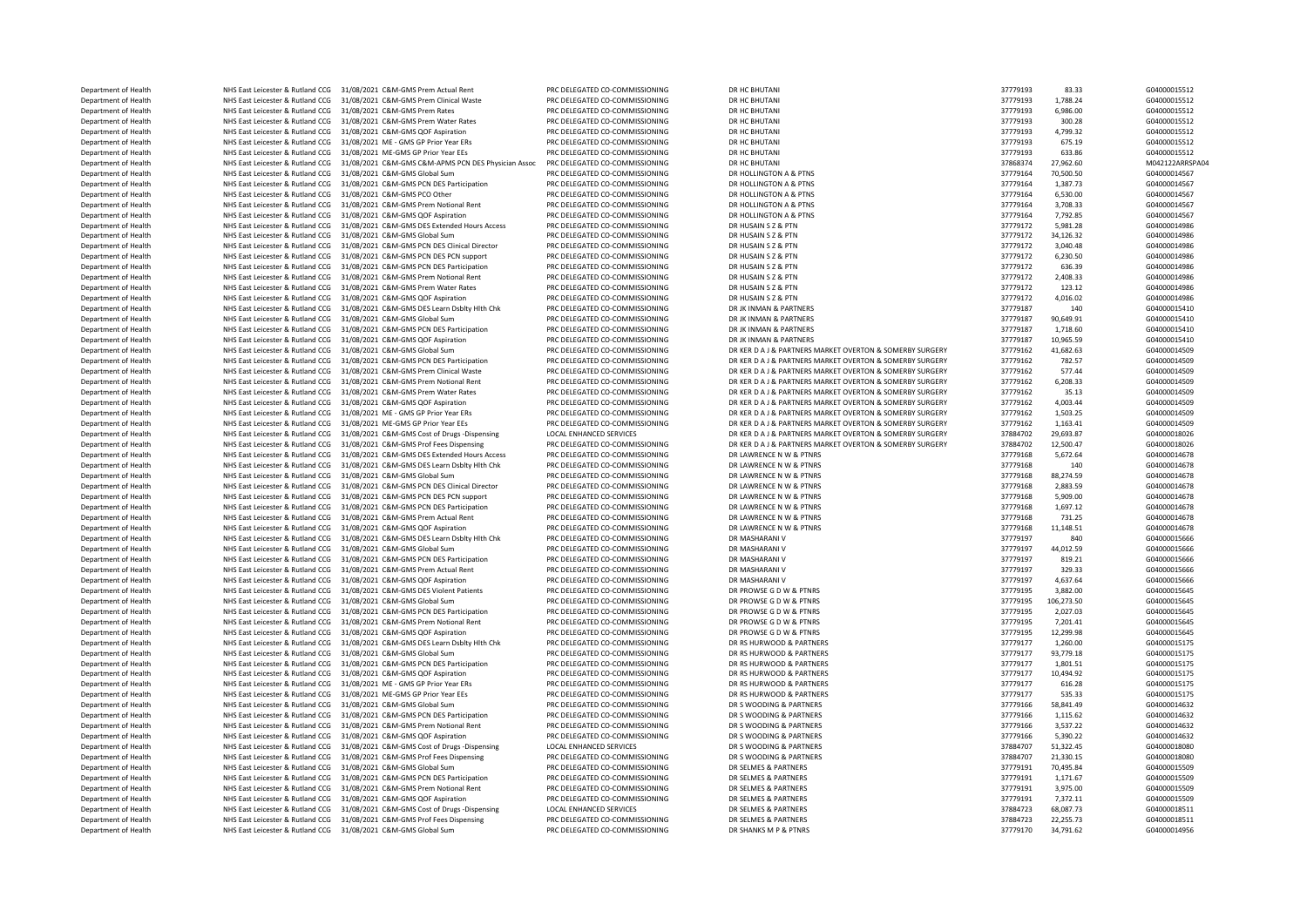NHS East Leicester & Rutland CCG 31/08/2021 C&M-GMS QOF Aspiration Department of Health **NHS East Leicester & Rutland CCG** 31/08/2021 C&M-GMS Prem Notional Rent DES East Leicester & Rutland CCG 31/08/2021 C&M-GMS PCN DES Participation Department Network News 21/08/2021 C&M-GMS PCN DES Participation Department of Health NHS East Leicester & Rutland CCG 31/08/2021 C&M-GMS Global Sum PRC DELEGATED CO-COMMISSIONING DR SHANKS M P & PTNRS 37779170 34,791.62 SA4000014956

Department of Health NHS East Leicester & Rutland CCG 31/08/2021 C&M-GMS Prem Actual Rent PRC DELEGATED CO-COMMISSIONING DR HC BHUTANI PRODUCT SAN ST779193 83.33 G04000015512<br>Department of Health NHS East Leicester & Rutla Department of Health NHS East Leicester & Rutland CCG 31/08/2021 C&M-GMS Prem Clinical Waste PRC DELEGATED CO-COMMISSIONING DR HC BHUTANI DR 2010 2010 20100015512 1,788.24 6,986.00 604000015512<br>Department of Health NHS Eas Department of Health NHS East Leicester & Rutland CCG 31/08/2021 C&M-GMS Prem Rates PRC DELEGATED CO-COMMISSIONING DR HC BHUTANI PRODUCT SAN EAST DR HC BHUTANI 37779193 5,986.00 604000015512<br>Department of Health NHS East L Department of Health NHS East Leicester & Rutland CCG 31/08/2021 C&M-GMS Prem Water Rates PRC DELEGATED CO-COMMISSIONING DR HC BHUTANI 37779193 300.28 G04000015512<br>Department of Health NHS East Leicester & Rutland CCG 31/0 Department of Health NHS East Leicester & Rutland CCG 31/08/2021 C&M-GMS QOF Aspiration PRC DELEGATED CO-COMMISSIONING DR HC BHUTANI 37779193 4,799.32 G04000015512 Department of Health NHS East Leicester & Rutland CCG 31/08/2021 ME - GMS GP Prior Year ERs PRC DELEGATED CO-COMMISSIONING DR HC BHUTANI 37779193 675.19 604000015512 675.19 604000015512<br>Department of Health NHS Eart Leices Department of Health NHS East Leicester & Rutland CCG 31/08/2021 ME-GMS GP Prior Year EEs PRC DELEGATED CO-COMMISSIONING DR HC BHUTANI 2017 20179193 633.86 664000015512 Department of Health NHS East Leicester & Rutland CCG 31/08/2021 C&M-GMS C&M-APMS PCN DES Physician Assoc PRC DELEGATED CO-COMMISSIONING DR HC BHUTANI ARE PTNS STEP AND A 27,962.60 MD42122ARRSPA04 MO42122ARRSPA04<br>Departmen Department of Health NHS East Leicester & Rutland CCG 31/08/2021 C&M-GMS Global Sum PRC DELEGATED CO-COMMISSIONING DR HOLLINGTON A & PTNS 37779164 70,500.50 G04000014567<br>Department of Health NHS East Leicester & Butland CC Department of Health NHS East Leicester & Rutland CCG 31/08/2021 C&M-GMS PCN DES Participation PRC DELEGATED CO-COMMISSIONING DR HOLLINGTON A & PTNS 37779164 37779164 1,387.73 G04000014567<br>Department of Health NHS East Lei Department of Health NHS East Leicester & Rutland CCG 31/08/2021 C&M-GMS PCO Other PRC DELEGATED CO-COMMISSIONING DR HOLLINGTON A & PTNS 37779164 5,530.00 604000014567<br>Department of Health NHS East Leicester & Rutland CCG Department of Health NHS East Leicester & Rutland CCG 31/08/2021 C&M-GMS Prem Notional Rent PRC DELEGATED CO-COMMISSIONING DR HOLLINGTON A & PTNS SAN DELEGATED A STOP 2013 20000014567 (3708.33 G04000014567 C04000014567 PRC Department of Health MHS East Leicester & Rutland CCG 31/08/2021 C&M-GMS QOF Aspiration PRC DELEGATED CO-COMMISSIONING DR HOLLINGTON A & PTNS 30000014 201000014567 CO-0000014567 ARCHEGATED A BOLLINGTON DR AND A BOLLINGTON Department of Health NHS East Leicester & Rutland CCG 31/08/2021 C&M-GMS DES Extended Hours Access PRC DELEGATED CO-COMMISSIONING DR HUSAIN S Z BRITTEL 2012 2012 2012 2012 2012 2012 2013 2014 2016 20100014986<br>Department of Department of Health NHS East Leicester & Rutland CCG 31/08/2021 C&M-GMS Global Sum PRC DELEGATED CO-COMMISSIONING DR HUSAIN S Z & PTN 37779172 3,040.48 37779172 3,040.48 GO4000014986<br>Department of Health NHS East Leiceste Department of Health NHS East Leicester & Rutland CCG 31/08/2021 C&M-GMS PCN DES Clinical Director PRC DELEGATED CO-COMMISSIONING DR HUSAIN S ZERN 37779172 3,040.48 G04000014986<br>Department of Health NHS East Leicester & Bu Department of Health NHS East Leicester & Rutland CCG 31/08/2021 C&M-GMS PCN DES PCN support PRC DELEGATED CO-COMMISSIONING DR HUSAIN S Z BEN SUPPORT BREATED ASSAULT AND STATED AND RESERVED AND RESERVED AND RESERVED AND RE Department of Health NHS East Leicester & Rutland CCG 31/08/2021 C&M-GMS PCN DES Participation PRC DELEGATED CO-COMMISSIONING DR HUSAIN S 2 BPTN 2408.31 37779172 636.39 G04000014986<br>Department of Health NHS East Leicester Department of Health NHS East Leicester & Rutland CCG 31/08/2021 C&M-GMS Prem Notional Rent PRC DELEGATED CO-COMMISSIONING DR HUSAIN S Z BR THE SAME DR HUSAIN S 20000014986 AND 20000014986<br>Department of Health NHS East Lei Department of Health NHS East Leicester & Rutland CCG 31/08/2021 C&M-GMS Prem Water Rates PRC DELEGATED CO-COMMISSIONING DR HUSAIN S Z BRIT DR HUSAIN S 20000014986 20100014986 20100014986<br>Department of Health NHS East Leic NHS East Leicester & Rutland CCG 31/08/2021 C&M-GMS QOF Aspiration PRC DELEGATED CO-COMMISSIONING DR HUSAIN S Z BTN 20000014986 20000014986 20000014986 20000014986 20000014986 20000014986 20000014986 20000014986 2000001541 Department of Health NHS East Leicester & Rutland CCG 31/08/2021 C&M-GMS DES Learn Dsblty Hlth Chk PRC DELEGATED CO-COMMISSIONING DR JK INMAN & PARTNERS SANTHERS 37779187 140 G04000015410<br>Department of Health NHS East Leic Department of Health NHS East Leicester & Rutland CCG 31/08/2021 C&M-GMS Global Sum PRC DELEGATED CO-COMMISSIONING DR JK INMAN & PARTNERS STORE STORE 37779187 90,649.91 60400015410<br>Department of Health NHS East Leicester & Department of Health NHS East Leicester & Rutland CCG 31/08/2021 C&M-GMS PCN DES Participation PRC DELEGATED CO-COMMISSIONING DR JK INMAN & PARTNERS 37779187 1,718.60 604000015410 G04000015410 (G04000015410 PRC PRE PARTNER Department of Health NHS East Leicester & Rutland CCG 31/08/2021 C&M-GMS Global Sum PRC DELEGATED CO-COMMISSIONING DR KER DA J & PARTNERS MARKET OVERTON & SOMERBY SURGERY 37779162 41,682.63 G04000014509 Department of Health NHS East Leicester & Rutland CCG 31/08/2021 C&M-GMS PORT DRES Participation PRC DELEGATED CO-COMMISSIONING DR KER DA J & PARTNERS MARKET OVERTON & SOMERBY SURGERY 3779162 782.57 G04000014509 Department of Health NHS East Leicester & Rutland CCG 31/08/2021 C&M-GMS Prem Clinical Waste PRC DELEGATED CO-COMMISSIONING DR KER DA J& PARTNERS MARKET OVERTON & SOMERBY SURGERY 37779162 577.44 G04000014509<br>Department of Department of Health NHS East Leicester & Rutland CCG 31/08/2021 C&M-GMS Prem Water Rates PRC DELEGATED CO-COMMISSIONING DR KER DA J & PARTNERS MARKET OVERTON & SOMERBY SURGERY 3779162 35.13 G04000014509 Department of Health NHS East Leicester & Rutland CCG 31/08/2021 C&M-GMS QOF Aspiration PRC DELEGATED CO-COMMISSIONING DR KER DA J& PARTNERS MARKET OVERTON & SOMERBY SURGERY 37779162 4,003.44 G04000014509 (G04000014509 PRC NHS East Leicester & Rutland CCG 31/08/2021 ME - GMS GP Prior Year ERS PRO DELEGATED CO-COMMISSIONING DR KER DAJ & PARTNERS MARKET OVERTON & SOMERBY SURGERY 37779162 1,503.25 G04000014509 (G04000014509 PRO DELEGATED CO-COM Department of Health NHS East Leicester & Rutland CCG 31/08/2021 ME-GMS GP Prior Year EEs PRC DELEGATED CO-COMMISSIONING DR KER DA J & PARTNERS MARKET OVERTON & SOMERBY SURGERY 3779162 1,163.41 G04000014509 (G04000018026<br>D Department of Health NHS East Leicester & Rutland CCG 31/08/2021 C&M-GMS Cost of Drugs -Dispensing LOCAL ENHANCED SERVICES DR KER DA J& PARTNERS MARKET OVERTON & SOMERBY SURGERY 37884702 29,693.87 G04000018026<br>Department o Department of Health NHS East Leicester & Rutland CCG 31/08/2021 C&M-GMS Prof Fees Dispensing PRC DELEGATED CO-COMMISSIONING DR KER DA J& PARTNERS MARKET OVERTON & SOMERBY SURGERY 37884702 12,500.47 G04000018026 G040000180 Department of Health NHS East Leicester & Rutland CCG 31/08/2021 C&M-GMS DES Extended Hours Access PRC DELEGATED CO-COMMISSIONING DR LAWRENCE N W & PTNRS 37779168 5,672.64 5,672.64 G04000014678 C0000014678 C0000014678 PRC NHS East Leicester & Rutland CCG 31/08/2021 C&M-GMS DES Learn Dsblty Hlth Chk PRC DELEGATED CO-COMMISSIONING DR LAWRENCE N W & PTNRS 37779168 37779168 140 G04000014678 37779168 140 G04000014678 140 G04000014678 150 DR LAWR Department of Health NHS East Leicester & Rutland CCG 31/08/2021 C&M-GMS Global Sum PRC DELEGATED CO-COMMISSIONING DR LAWRENCE N W & PTNRS 37779168 88,274.59 60400014678 60400014678<br>Department of Health NHS East Leicester Department of Health NHS East Leicester & Rutland CCG 31/08/2021 C&M-GMS PCN DES Clinical Director PRC DELEGATED CO-COMMISSIONING DR LAWRENCE N W & PTNRS 3000001 2010 20100014678 CO4000014678 PRESS 2,883.59 GO4000014678 CO Department of Health NHS East Leicester & Rutland CCG 31/08/2021 C&M-GMS PCN DES PCN support PRC DELEGATED CO-COMMISSIONING DR LAWRENCE N W & PTNRS 37779168 5,909.00 604000014678 604000014678 PRC DR LAWRENCE N W & PTNRS 37 Department of Health NHS East Leicester & Rutland CCG 31/08/2021 C&M-GMS PCN DES Participation PRC DELEGATED CO-COMMISSIONING DR LAWRENCE N W & PTNRS 37779168 37779168 1,697.12 604000014678<br>Department of Health NHS East Le Oepartment of Health MHS East Leicester & Rutland CCG 31/08/2021 C&M-GMS Prem Actual Rent PRC DELEGATED CO-COMMISSIONING DR LAWRENCE N W & PTNRS 37779168 37779168 731.25 G04000014678 G04000014678 (αναφηματία το επιβεστεί Department of Health NHS East Leicester & Rutland CCG 31/08/2021 C&M-GMS QOF Aspiration PRC DELEGATED CO-COMMISSIONING DR LAWRENCE N W & PTNRS 37779168 11,148.51 504000014678<br>Department of Health NHS East Leicester & Rutla Department of Health NHS East Leicester & Rutland CCG 31/08/2021 C&M-GMS DES Learn Dsblty Hlth Chk PRC DELEGATED CO-COMMISSIONING DR MASHARANI V 37779197 3779197 840 604000015666<br>Department of Health NHS East Leicester & R Department of Health NHS East Leicester & Rutland CCG 31/08/2021 C&M-GMS Global Sum PRC DELEGATED CO-COMMISSIONING DR MASHARANI V 37779197 44,012.59 604000015666<br>Department of Health NHS East Leicester & Rutland CCG 31/08/ Department of Health NHS East Leicester & Rutland CCG 31/08/2021 C&M-GMS Prem Actual Rent PRC DELEGATED CO-COMMISSIONING DR MASHARANI V 37779197 329.33 G04000015666 Department of Health NHS East Leicester & Rutland CCG 31/08/2021 C&M-GMS QOF Aspiration PRC DELEGATED CO-COMMISSIONING DR MASHARANI V 37779197 4,637.64 G04000015666 Department of Health NHS East Leicester & Rutland CCG 31/08/2021 C&M-GMS DES Violent Patients PRC DELEGATED CO-COMMISSIONING DR PROWSE G DW & PTNRS 3779195 3,882.00 604000015645 604000015645 87779195 87779195 106,273.50 G0 NHS East Leicester & Rutland CCG 31/08/2021 C&M-GMS Global Sum PRC DELEGATED CO-COMMISSIONING DR PROWSE G D W & PTNRS 37779195 106, 2017 9195 Department of Health NHS East Leicester & Rutland CCG 31/08/2021 C&M-GMS PCM DES Participation PRC DELEGATED CO-COMMISSIONING DR PROWSE G D W & PTNRS 37779195 37779195 2,027.03 G04000015645 Department of Health NHS East Leicester & Rutland CCG 31/08/2021 C&M-GMS Prem Notional Rent PRC DELEGATED CO-COMMISSIONING DR PROWSE G D W & PTNRS 37779195 7,201.41 604000015645 Department of Health NHS East Leicester & Rutland CCG 31/08/2021 C&M-GMS ODE Aspiration PRC DELEGATED CO-COMMISSIONING DR PROWSE G D.W & PTNRS 37779195 37779195 12,299.98 604000015645 Department of Health NHS East Leicester & Rutland CCG 31/08/2021 C&M-GMS DES Learn Dsblty Hlth Chk PRC DELEGATED CO-COMMISSIONING DR RS HURWOOD & PARTNERS 37779177 1,260.00 504000015175 1,260.00 604000015175 1,260.00 G0400 Department of Health NHS East Leicester & Rutland CCG 31/08/2021 C&M-GMS Global Sum PRC DELEGATED CO-COMMISSIONING DR RS HURWOOD & PARTNERS 37779177 Department of Health NHS East Leicester & Rutland CCG 31/08/2021 C&M-GMS PCN DES Participation PRC DELEGATED CO-COMMISSIONING DR RS HURWOOD & PARTNERS 37779177 1,801.51 G04000015175 Department of Health NHS East Leicester & Rutland CCG 31/08/2021 C&M-GMS QOF Aspiration PRC DELEGATED CO-COMMISSIONING DR RS HURWOOD & PARTNERS 37779177 10,494.92 G04000015175 Department of Health NHS East Leicester & Rutland CCG 31/08/2021 ME - GMS GP Prior Year ERS PRO DR CHE FGATED CO-COMMISSIONING DR RS HURWOOD & PARTNERS 37779177 616.28 G04000015175 Department of Health NHS East Leicester & Rutland CCG 31/08/2021 ME-GMS GP Prior Year EEs PRC DELEGATED CO-COMMISSIONING DR RS HURWOOD & PARTNERS 3777917 S35.33 569400015175 58.841.49 604000015175 S0,0000014632<br>Department Department of Health NHS East Leicester & Rutland CCG 31/08/2021 C&M-GMS Global Sum PRC DELEGATED CO-COMMISSIONING DR S WOODING & PARTNERS 37779166 58,841.49 57779166 58,841.49 G04000014632<br>Department of Health NHS East Le Department of Health NHS East Leicester & Rutland CCG 31/08/2021 C&M-GMS PCN DES Participation PRC DELEGATED CO-COMMISSIONING DR S WOODING & PARTNERS 37779166 1,115.62 G04000014632<br>Department of Health NHS East Leicester & Department of Health NHS East Leicester & Rutland CCG 31/08/2021 C&M-GMS Prem Notional Rent PRC DELEGATED CO-COMMISSIONING DR S WOODING & PARTNERS 3779166 3,537.22 60400014632<br>Department of Health NHS East Leicester & Rutl NHS East Leicester & Rutland CCG 31/08/2021 C&M-GMS QOF Aspiration PRC DELEGATED CO-COMMISSIONING DR S WOODING & PARTNERS 37779166 5,390.22 604000014632<br>NHS East Leicester & Rutland CCG 31/08/2021 CBM CMG Core Drug Dream D Department of Health MHS East Leicester & Rutland CCG 31/08/2021 C&M-GMS Cost of Drugs -Dispensing LOCAL ENHANCED SERVICES DR S WOODING & PARTNERS 37884707 51,322.45 51,322.45 G04000018080<br>Department of Health MHS East Lei Department of Health NHS East Leicester & Rutland CCG 31/08/2021 C&M-GMS Prof Fees Dispensing PRC DELEGATED CO-COMMISSIONING DR S WOODING & PARTNERS 37884707 21,330.15 5784407 21,330.15 G04000018080<br>Department of Health NH Department of Health NHS East Leicester & Rutland CCG 31/08/2021 C&M-GMS Global Sum PRC DELEGATED CO-COMMISSIONING DR SELMES & PARTNERS 37779191 70,495.84 37779191 70,495.84 G04000015509<br>Department of Health NHS East Leice Department of Health NHS East Leicester & Rutland CCG 31/08/2021 C&M-GMS Prem Notional Rent PRC DELEGATED CO-COMMISSIONING DR SELMES & PARTNERS 37779191 3,975.00 G04000015509 Department of Health NHS East Leicester & Rutland CCG 31/08/2021 C&M-GMS QOF Aspiration PRC DELEGATED CO-COMMISSIONING DR SELMES & PARTNERS 3779191 7,372.11 GO4000015509 Department of Health NHS East Leicester & Rutland CCG 31/08/2021 C&M-GMS Cost of Drugs -Dispensing LOCAL ENHANCED SERVICES DR SELMES & PARTNERS 37884723 57884723 68,087.73 G04000018511 COLL ENHANCED SERVICES DR SELMES & PA Department of Health NHS East Leicester & Rutland CCG 31/08/2021 C&M-GMS Prof Fees Dispensing PRC DELEGATED CO-COMMISSIONING DR SELMES & PARTNERS 37884723 22,255.73 22,255.73 22,255.73 22,255.73 DR SELMES & PARTNERS ARENE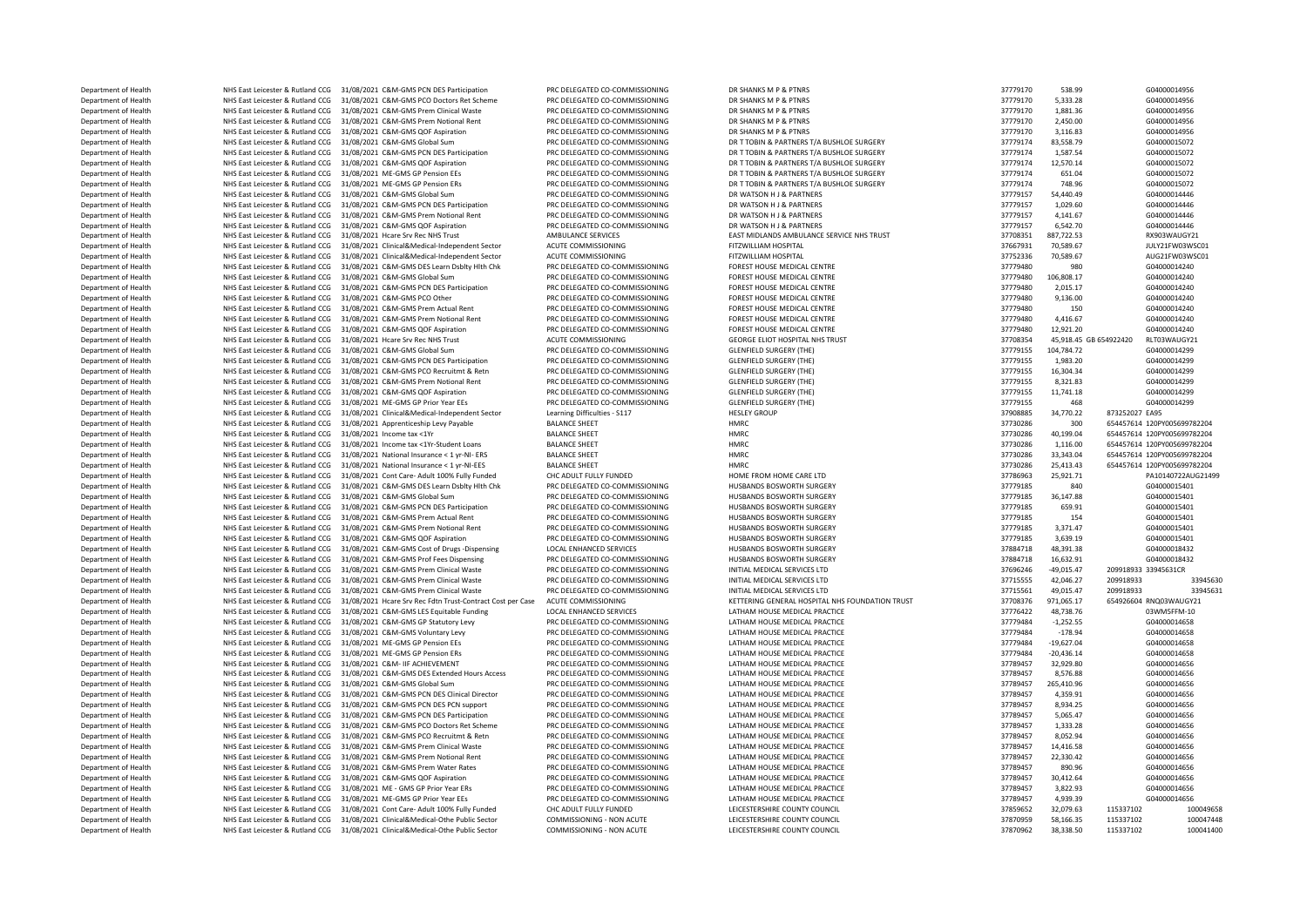Department of Health NHS East Leicester & Rutland CCG 31/08/2021 C&M-GMS PCN DES Participation PRC DELEGATED CO-COMMISSIONING DR SHANKS M P & PTNRS STREEGATED CO-COMMISSIONING DR SHANKS M P & PTNRS 37779170 538.99 G0400001 Department of Health NHS East Leicester & Rutland CCG 31/08/2021 C&M-GMS PCO Doctors Ret Scheme PRC DELEGATED CO-COMMISSIONING DR SHANKS M P & PTNRS 3779170 5,333.28 604000014956 604000014956 . . . . . . . . . . . . . . . Department of Health NHS East Leicester & Rutland CCG 31/08/2021 C&M-GMS Prem Clinical Waste PRC DELEGATED CO-COMMISSIONING DR SHANKS M P & PTNRS STREE STREET STREET AND A STREET AND A STREET STREET AND DR SHANKS M REAR DR Department of Health NHS East Leicester & Rutland CCG 31/08/2021 C&M-GMS Prem Notional Rent PRC DELEGATED CO-COMMISSIONING DR SHANKS M P & PTNRS 37779170 2,450.00 G04000014956<br>December of Health NHS East Leicester & Butlan Department of Health NHS East Leicester & Rutland CCG 31/08/2021 C&M-GMS QOF Aspiration PRC DELEGATED CO-COMMISSIONING DR SHANKS M P & PTNRS 37779170 3,116.83 G04000014956 Department of Health NHS East Leicester & Rutland CCG 31/08/2021 C&M-GMS Global Sum PRC DELEGATED CO-COMMISSIONING DR TTOBIN & PARTNERS T/A BUSHLOE SURGERY 37779174 83,558.79 G04000015072<br>December of Health NHS East Leices Department of Health NHS East Leicester & Rutland CCG 31/08/2021 C&M-GMS PCN DES Participation PRC DELEGATED CO-COMMISSIONING DR TTOBIN & PARTNERS T/A BUSHLOE SURGERY 37779174 1,587.54 G04000015072<br>Department of Health NHS Department of Health 27779174 NHS East Leicester & Rutland CCG 31/08/2021 C&M-GMS QOF Aspiration PRC DELEGATED CO-COMMISSIONING DR TTOBIN & PARTNERS T/A BUSHLOE SURGERY 37779174 12,570.14 604000015072<br>Department of Health Department of Health NHS East Leicester & Rutland CCG 31/08/2021 ME-GMS GP Pension EEs PRC DELEGATED CO-COMMISSIONING DR TTOBIN & PARTNERS T/A BUSHLOE SURGERY 37779174 651.04 G04000015072<br>Department of Health NHS East Leic Department of Health NHS East Leicester & Rutland CCG 31/08/2021 ME-GMS GP Pension ERs PRC DELEGATED CO-COMMISSIONING DR T TOBIN & PARTNERS T/A BUSHLOE SURGERY 37779174 748.96 604000015072 Department of Health NHS East Leicester & Rutland CCG 31/08/2021 C&M-GMS Global Sum PRC DELEGATED CO-COMMISSIONING DR WATSON H & PARTNERS 37779157 54,440.49 54,779157 54,440.49 G04000014446 EAST DR LATT AND FOR DR COMMISSI Department of Health NHS East Leicester & Rutland CCG 31/08/2021 C&M-GMS PCN DES Participation PRC DELEGATED CO-COMMISSIONING DR WATSON H & PARTNERS 37779157 1,029.60 604000014446<br>Department of Health NHS East Leicester & Department of Health NHS East Leicester & Rutland CCG 31/08/2021 C&M-GMS Prem Notional Rent PRC DELEGATED CO-COMMISSIONING DR WATSON H & PARTNERS 37779157 4,141.67 66400014446<br>Department of Health NHS East Leicester & Rutl Exampled of Health NHS East Leicester & Rutland CCG 31/08/2021 C&M-GMS QOF Aspiration PRC DELEGATED CO-COMMISSIONING DR WATSON H & PARTNERS 37779157 6,542.70 604000014446<br>Department of Health NHS East Leicester & Butlan Department of Health NHS East Leicester & Rutland CCG 31/08/2021 Hcare Srv Rec NHS Trust AMBULANCE SERVICES EAST MIDLANDS AMBULANCE SERVICE NHS TRUST AT ALLY TRUST AND A STROBS AND A STROBS AND A STROBS AND A STROBS AND A **Department of Health NHS East Leicester & Rutland CCG 31/08/2021 Clinical&Medical-Independent Sector ACUTE COMMISSIONING FITZWILLIAM HOSPITAL 31767931 37657931 70,589.67 JULY21FW03WSC01<br>Department of Health NHS East Lei** Department of Health NHS East Leicester & Rutland CCG 31/08/2021 Clinical&Medical-Independent Sector ACUTE COMMISSIONING FITZWILLIAM HOSPITAL FITZWILLIAM HOSPITAL 37752336 70,589.67 AUG21FW03WSC<br>Department of Health NHS Fa Department of Health NHS East Leicester & Rutland CCG 31/08/2021 C&M-GMS DES Learn Dsblty Hlth Chk PRC DELEGATED CO-COMMISSIONING FOREST HOUSE MEDICAL CENTRE 37779480 980 980 G04000014240<br>Department of Health NHS East Leic Department of Health NHS East Leicester & Rutland CCG 31/08/2021 C&M-GMS Global Sum PRC DELEGATED CO-COMMISSIONING FOREST HOUSE MEDICAL CENTRE 37779480 106,808.17 G04000014240<br>Department of Health NHS East Leicester & Rutl Department of Health NHS East Leicester & Rutland CCG 31/08/2021 C&M-GMS PCN DES Participation PRC DELEGATED CO-COMMISSIONING FOREST HOUSE MEDICAL CENTRE 37779480 37779480 2,015.17 G04000014240<br>Department of Health NHS Eas Department of Health NHS East Leicester & Rutland CCG 31/08/2021 C&M-GMS PCO Other PRC DELEGATED CO-COMMISSIONING FOREST HOUSE MEDICAL CENTRE 37779480 9,136.00 G04000014240<br>Department of Health NHS East Leicester & Butland Department of Health NHS East Leicester & Rutland CCG 31/08/2021 C&M-GMS Prem Actual Rent PRC DELEGATED CO-COMMISSIONING FOREST HOUSE MEDICAL CENTRE 37779480 150 504000014240<br>Department of Health NHS East Leicester & Rutla Department of Health NHS East Leicester & Rutland CCG 31/08/2021 C&M-GMS Prem Notional Rent PRC DELEGATED CO-COMMISSIONING FOREST HOUSE MEDICAL CENTRE 37779480 4,416.67 604000014240<br>Department of Health NHS East Leicester Department of Health NHS East Leicester & Rutland CCG 31/08/2021 C&M-GMS QOF Aspiration PRC DELEGATED CO-COMMISSIONING FOREST HOUSE MEDICAL CENTRE 3770980 12,921.20 60400001440 50160001440 CENTRE 31/08/2021 CAM-GENEGATED A DEPARTMENT OF HEALTH NET HEALTH NET TRUST NET ACCORD ACT ACCORD ACT ACCORD ACT COMMISSIONING GEORGE ENGINE ST Department of Health NHS East Leicester & Rutland CCG 31/08/2021 C&M-GMS Global Sum PRC DELEGATED CO-COMMISSIONING GLENFIELD SURGERY (THE) 37779155 104.784.72 G04000014299 Department of Health NHS East Leicester & Rutland CCG 31/08/2021 C&M-GMS PCN DES Participation PRC DELEGATED CO-COMMISSIONING GLENFIELD SURGERY (THE) 37779155 1,983.20 504000014299 (GLENFIELD SURGERY CHENNELD SURGERY CHENN Department of Health NHS East Leicester & Rutland CCG 31/08/2021 C&M-GMS PCO Recruitmt & Retn PRC DELEGATED CO-COMMISSIONING GLENFIELD SURGERY (THE) 37779155 16,304.34 504000014299 (1989) 9779155 16,304.34 GO4000014299 (19 NHS East Leicester & Rutland CCG 31/08/2021 C&M-GMS Prem Notional Rent Department of Health MHS East Leicester & Rutland CCG 31/08/2021 C&M-GMS QOF Aspiration PRC DELEGATED CO-COMMISSIONING GLENFIELD SURGERY (THE) 37779155 11,741.18 504000014299 (GLENFIELD SURGERY ENERGY THE SURGERY CHENGERY Department of Health NHS East Leicester & Rutland CCG 31/08/2021 ME-GMS GP Prior Year EEs PRC DELEGATED CO-COMMISSIONING GLENFIELD SURGERY (THE) 37779155 468 57779155 468 GO40<br>Department of Health NHS East Leicester & Rutl Department of Health NHS East Leicester & Rutland CCG 31/08/2021 Clinical&Medical-Independent Sector Learning Difficulties - S117 HESLEY GROUP 37900885 34,770.22 873252027 EA95 34,770.22 873252027 EA95 34,770.22 873252027 Department of Health NHS East Leicester & Rutland CCG 31/08/2021 Apprenticeship Levy Payable BALANCE SHEET HMRC 37730286 300 654457614 120PY005699782204 Department of Health NHS East Leicester & Rutland CCG 31/08/2021 Income tax <1Yr BALANCE SHEET HMRC 37730286 40,199.04 654457614 120PY005699782204 Department of Health NHS East Leicester & Rutland CCG 31/08/2021 Income tax <1Yr-Student Loans BALANCE SHEET HMRC 37730286 1,116.00 654457614 120PY005699782204<br>Department of Health NHS East Leicester & Rutland CCG 31/08/20 Department of Health NHS East Leicester & Rutland CCG 31/08/2021 National Insurance < 1 yr-NI- ERS BALANCE SHEET HMRC NEWS AND A REAL TO A STAG AND A STAG AND A STAG AND A STAG AND A STAG AND A STAG AND A STAG AND A STAG A Department of Health NHS East Leicester & Rutland CCG 31/08/2021 National Insurance < 1 yr-NI-EES BALANCE SHEET HMRC 2000 2011 NATE CALC INSURANCE INSURANCE SHEET HARP AND A STREAGE 2012 2013 408/3730286 25,413.43 65445761 Department of Health NHS East Leicester & Rutland CCG 31/08/2021 Cont Care- Adult 100% Fully Funded CHC ADULT FULLY FUNDED HOME FROM HOME FROM HOME CRE LTD STRESS 25,921.71 37786963 25,921.71 PA10140722AUG2140722AUG2154011 Department of Health NHS East Leicester & Rutland CCG 31/08/2021 C&M-GMS DES Learn Dsblty Hlth Chk PRC DELEGATED CO-COMMISSIONING HUSBANDS BOSWORTH SURGERY STATED ASSAULT AND REST AND STATED AND STATED AND STATED AND STATE Department of Health MHS East Leicester & Rutland CCG 31/08/2021 C&M-GMS Global Sum PRC DELEGATED CO-COMMISSIONING HUSBANDS BOSWORTH SURGERY 37779185 35,147.88 604000015401 604000015401<br>Department of Health MHS East Leice Department of Health NHS East Leicester & Rutland CCG 31/08/2021 C&M-GMS PCN DES Participation PRC DELEGATED CO-COMMISSIONING HUSBANDS BOSWORTH SURGERY 37779185 559.91 664000015401 664000015401 (GALACHE) 37779185 (GALACHE Department of Health NHS East Leicester & Rutland CCG 31/08/2021 C&M-GMS Prem Actual Rent PRC DELEGATED CO-COMMISSIONING HUSBANDS BOSWORTH SURGERY 37779185 154 G0400015401 G01000015401 G01000015401 (New York Prem Actual Re Department of Health NHS East Leicester & Rutland CCG 31/08/2021 C&M-GMS Prem Notional Rent PRC DELEGATED CO-COMMISSIONING HUSBANDS BOSWORTH SURGERY 3779185 3,371.47 37779185 3,371.47 G04000015401 G04000015401 CM3 PRC DELE Department of Health MHS East Leicester & Rutland CCG 31/08/2021 C&M-GMS QOF Aspiration PRC DELEGATED CO-COMMISSIONING HUSBANDS BOSWORTH SURGERY STATED AS A STATED ASSAULT A STATED ASSAULT SURGERY AND STATED ASSAULT ASSAUL Department of Health NHS East Leicester & Rutland CCG 31/08/2021 C&M-GMS Cost of Drugs -Dispensing LOCAL ENHANCED SERVICES HUSBANDS BOSWORTH SURGERY 37884718 37884718 48,391.38 G04000018432<br>Department of Health NHS East Le DEPARTMENT OF HEALTH NET HEALTH NHS East Leicester & Rutland CCG 31/08/2021 C&M-GMS Prof Fees Dispensing Department of Health NHS East Leicester & Rutland CCG 31/08/2021 C&M-GMS Prem Clinical Waste PRC DELEGATED CO-COMMISSIONING INITIAL MEDICAL SERVICES LTD 37696246 37696246 -49,015.47 209918933 33945631CR Department of Health NHS East Leicester & Rutland CCG 31/08/2021 C&M-GMS Prem Clinical Waste PRC DELEGATED CO-COMMISSIONING INITIAL MEDICAL SERVICES LTD 37715555 42,046.27 209918933 33945630 Department of Health MHS East Leicester & Rutland CCG 31/08/2021 C&M-GMS Prem Clinical Waste PRC DELEGATED CO-COMMISSIONING INITIAL MEDICAL SERVICES LTD 37000 37715561 49,015.47 209918933 33945631 33945631 33945631 3394563 Department Origin Network Network Network Network Contract Cost per Case ACUTE Contract Cost per Case ACUTE Contract Cost per Case Department of Health NHS East Leicester & Rutland CCG 31/08/2021 C&M-GMS LES Equitable Funding LOCAL ENHANCED SERVICES LATHAM HOUSE MEDICAL PRACTICE 37776422 48,738.76 03WM5FEM-10 Department of Health NHS East Leicester & Rutland CCG 31/08/2021 C&M-GMS GP Statutory Levy PRC DELEGATED CO-COMMISSIONING LATHAM HOUSE MEDICAL PRACTICE 37779484 -1,252.55 G04000014658 (30000014658 -1) . . . . . . . . . . . Department of Health NHS East Leicester & Rutland CCG 31/08/2021 C&M-GMS Voluntary Levy PRC DELEGATED CO-COMMISSIONING LATHAM HOUSE MEDICAL PRACTICE 37779484 -178.94 -178.94 Department of Health NHS East Leicester & Rutland CCG 31/08/2021 ME-GMS GP Pension EEs PRC DELEGATED CO-COMMISSIONING LATHAM HOUSE MEDICAL PRACTICE AND STATED ATTHE STATED ATTENDATION ATTENDATION ENTERTY ARE SOLOGO AND STA Department of Health NHS East Leicester & Rutland CCG 31/08/2021 ME-GMS GP Pension ERs PRC DELEGATED CO-COMMISSIONING LATHAM HOUSE MEDICAL PRACTICE 37779484 Department of Health NHS East Leicester & Rutland CCG 31/08/2021 C&M- IIF ACHIEVEMENT PRC DELEGATED CO-COMMISSIONING LATHAM HOUSE MEDICAL PRACTICE 37789457 32,929.80 504000014656 Department of Health NHS East Leicester & Rutland CCG 31/08/2021 C&M-GMS DES Extended Hours Access PRC DELEGATED CO-COMMISSIONING LATHAM HOUSE MEDICAL PRACTICE 37789457 8,576.88 G04000014656 Department of Health MHS East Leicester & Rutland CCG 31/08/2021 C&M-GMS Global Sum PRC DELEGATED CO-COMMISSIONING LATHAM HOUSE MEDICAL PRACTICE 37789457 265,410.96 504000014656 604000014656 ATHAM ADUSE MEDICAL PRACTICE DE Department of Health NHS East Leicester & Rutland CCG 31/08/2021 C&M-GMS PCN DES Clinical Director PRC DELEGATED CO-COMMISSIONING LATHAM HOUSE MEDICAL PRACTICE 37789457 4,359.91 604000014656 4000014656 ATHER ARENE DEPARTIC Department of Health NHS East Leicester & Rutland CCG 31/08/2021 C&M-GMS PCN DES PCN support PRC DELEGATED CO-COMMISSIONING LATHAM HOUSE MEDICAL PRACTICE 37789457 3,034.25 604000014656 FT (10000014656 FT ) and the support Department of Health NHS East Leicester & Rutland CCG 31/08/2021 C&M-GMS PCN DES Participation PRC DELEGATED CO-COMMISSIONING LATHAM HOUSE MEDICAL PRACTICE 37789457 5,065.47 G04000014656<br>Department of Health NHS East Leice Department of Health NHS East Leicester & Rutland CCG 31/08/2021 C&M-GMS PCO Doctors Ret Scheme PRC DELEGATED CO-COMMISSIONING LATHAM HOUSE MEDICAL PRACTICE 37789457 37789457 1,333.28 G04000014656 1,0000014656 1,0000014656 NHS East Leicester & Rutland CCG 31/08/2021 C&M-GMS PCO Recruitmt & Retn PRC DELEGATED CO-COMMISSIONING LATHAM HOUSE MEDICAL PRACTICE 37789457 3779457 8,052.94 G04000014656<br>NHS East Leicester & Rutland CCG 31/08/2021 C&M-G Department of Health NHS East Leicester & Rutland CCG 31/08/2021 C&M-GMS Prem Clinical Waste PRC DELEGATED CO-COMMISSIONING LATHAM HOUSE MEDICAL PRACTICE 37789457 37789457 14,416.58 G04000014656 (G04000014656 PREDICAL PRAC Department of Health NHS East Leicester & Rutland CCG 31/08/2021 C&M-GMS Prem Notional Rent PRC DELEGATED CO-COMMISSIONING LATHAM HOUSE MEDICAL PRACTICE 37789457 22,330.42 60000014656<br>Department of Health NHS East Leiceste Department of Health NHS East Leicester & Rutland CCG 31/08/2021 C&M-GMS Prem Water Rates PRC DELEGATED CO-COMMISSIONING LATHAM HOUSE MEDICAL PRACTICE 37789457 890.96 604000014656 604000014656<br>Department of Health NHS East DREPARTMENT OF HEALTH NET ASSESSED AT A RUTLAND AND RELEGATED CONTRACTED CONTRACTED CONTRACTED CONTRACTED CONTRACTED CONTRACTED ASPIRATION Department of Health NHS East Leicester & Rutland CCG 31/08/2021 ME - GMS GP Prior Year ERS PRIOR PRACTICE LATHAM HOUSE MEDICAL PRACTICE 37789457 3,822.93 G04000014656 Department of Health NHS East Leicester & Rutland CCG 31/08/2021 ME-GMS GP Prior Year EEs PRO DELEGATED CO-COMMISSIONING LATHAM HOUSE MEDICAL PROTTICE 37789457 4,939.39 37789457 4,939.39 GO4000014656 Department of Health NHS East Leicester & Rutland CCG 31/08/2021 Cont Care- Adult 100% Fully Funded CHC ADULT FULLY FUNDED LEICESTERSHIRE COUNTY COUNCIL 37859652 32,079.63 115337102 100049658 Department of Health NHS East Leicester & Rutland CCG 31/08/2021 Clinical&Medical-Othe Public Sector COMMISSIONING - NON ACUTE LEICESTERSHIRE COUNTY COUNCIL 37870959 58,166.35 1166.35 Department of Health NHS East Leicester & Rutland CCG 31/08/2021 Clinical&Medical-Othe Public Sector COMMISSIONING - NON ACUTE LEICESTERSHIRE COUNTY COUNCIL 37970462 38,338.50 37870962 38,338.50 115337102 100041400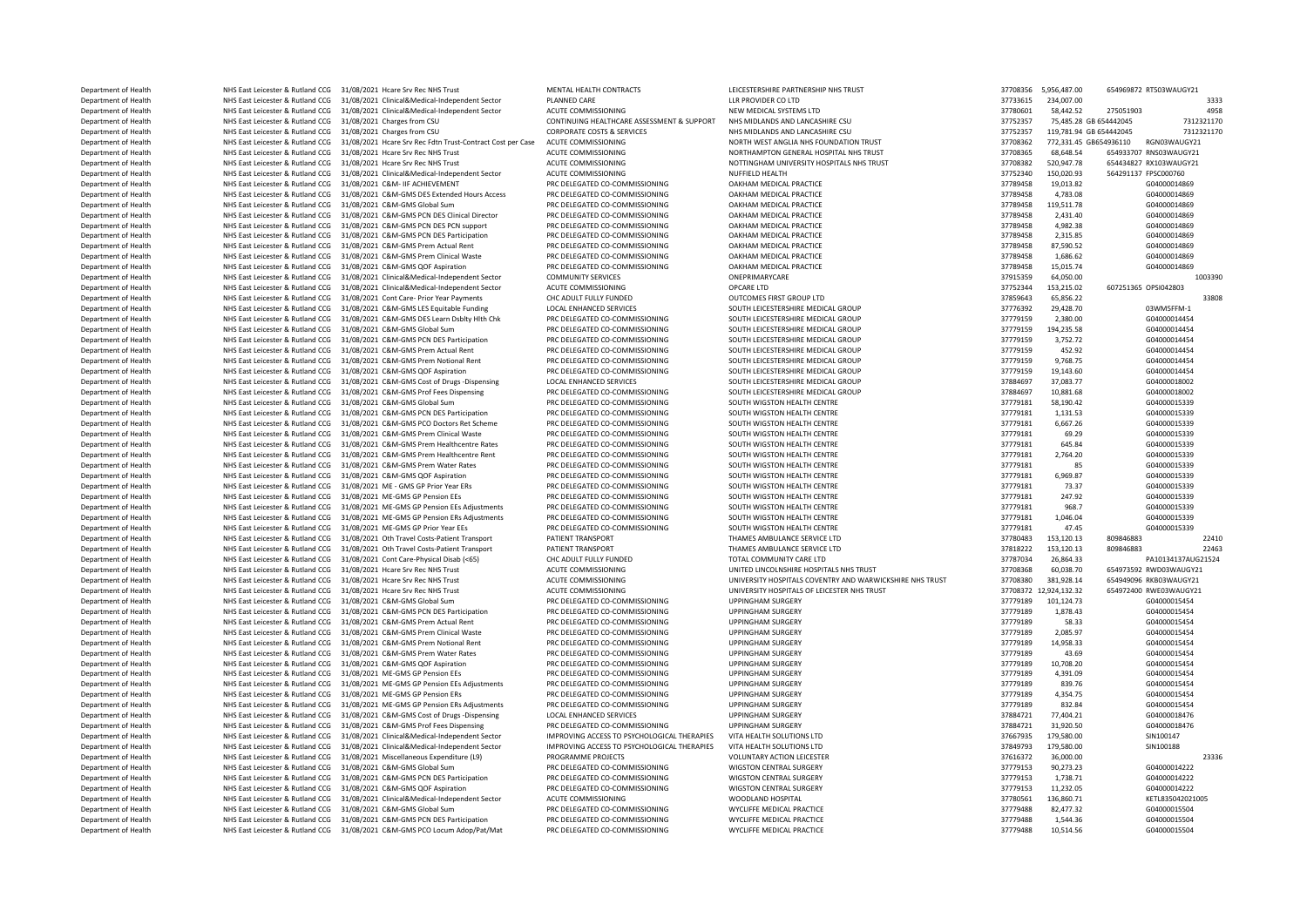Department of Health NHS East Leicester & Rutland CCG 31/08/2021 Hcare Srv Rec NHS Trust MENTAL HEALTH CONTRACTS LEICESTERSHIRE PARTNERSHIP NHS TRUST NHS TRUST 37708356 5,956,487.00 654969872 RT503WAUGY21 MENTAL HEALTH CON Department of Health 234,007.00 NHS East Leicester & Rutland CCG 31/08/2021 Clinical&Medical-Independent Sector PLANNED CARE LLR PROVIDER CO LTD LLR PROVIDER CO LTD 3733615 234,007.00 3733615 234,007.00 3333<br>Department of Department of Health NHS East Leicester & Rutland CCG 31/08/2021 Clinical&Medical-Independent Sector ACUTE COMMISSIONING NEW MEDICAL SYSTEMS LTD NEW MEDICAL SYSTEMS LTD 37780601 58,442.52 275051903 4958 4958 4958 4958 4958 Department of Health NHS East Leicester & Rutland CCG 31/08/2021 Charges from CSU CONTINUING HEALTHCARE ASSESSMENT & SUPPORT NHS MIDLANDS AND LANCASHIRE CSU 37752357 75,485.28 GB 654442045 7312321170 Department of Health NHS East Leicester & Rutland CCG 31/08/2021 Charges from CSU CORPORATE COSTS & SERVICES NHS MIDLANDS AND LANCASHIRE CSU 2770 199781.94 GB 654442045 777.331.94 GB 654442045 773.331.45 GB 654442045 773.3 Department of Health NHS East Leicester & Rutland CCG 31/08/2021 Hcare Srv Rec Fdtn Trust-Contract Cost per Case ACUTE COMMISSIONING NORTH WEST ANGLIA NHS FOUNDATION TRUST 37708362 772,331.45 GB654936110 RGN03WAUGY21<br>Depar Department of Health NHS East Leicester & Rutland CCG 31/08/2021 Hcare Srv Rec NHS Trust ACUTE COMMISSIONING NORTHAMPTON GENERAL HOSPITAL NHS TRUST 37708365 68,648.54 654933707 RNS03WAUGY21 Department of Health NHS East Leicester & Rutland CCG 31/08/2021 Hcare Srv Rec NHS Trust ACUTE COMMISSIONING NOTTINGHAM UNIVERSITY HOSPITALS NHS TRUST 37708382 520,947.78 654434827 RX103WAUGY21 (1999) 27752340 1544394 2775 Department of Health NHS East Leicester & Rutland CCG 31/08/2021 Clinical&Medical-Independent Sector ACUTE COMMISSIONING NUFFIELD HEALTH 37752340 150,020.93 564291137 FPSC000760 16 (1999) 27790459 16000014060 16000014060 1 Department of Health NHS East Leicester & Rutland CCG 31/08/2021 C&M- IIF ACHIEVEMENT PRC DELEGATED CO-COMMISSIONING OAKHAM MEDICAL PRACTICE 37789458 19,013.82 G04000014869 Department of Health NHS East Leicester & Rutland CCG 31/08/2021 C&M-GMS DES Extended Hours Access PRC DELEGATED CO-COMMISSIONING OAKHAM MEDICAL PRACTICE 31/08 37789458 4,783.08 G04000014869 G04000014869 (G04000014869 COMM Department of Health NHS East Leicester & Rutland CCG 31/08/2021 C&M-GMS Global Sum PRC DELEGATED CO-COMMISSIONING OAKHAM MEDICAL PRACTICE 37789458 119,511.78 504000014869 Department of Health NHS East Leicester & Rutland CCG 31/08/2021 C&M-GMS PCN DES Clinical Director PRC DELEGATED CO-COMMISSIONING DAKHAM MEDICAL PRACTICE DELEGATED CO-COMMISSIONING DAKHAM MEDICAL PRACTICE 37789458 4,982.38  $\begin{array}{l} \text{Department of Health} \qquad \qquad \text{NHS} \qquad \text{MHS} \qquad \text{B} \qquad \text{B} \qquad \text{B} \qquad \text{C} \qquad \text{D} \qquad \text{D} \qquad \text{D} \qquad \text{D} \qquad \text{D} \qquad \text{D} \qquad \text{D} \qquad \text{D} \qquad \text{D} \qquad \text{D} \qquad \text{D} \qquad \text{D} \qquad \text{D} \qquad \text{D} \qquad \text{D} \qquad \text{D} \qquad \text{D} \qquad \text{D} \qquad \text{D$ Department of Health NHS East Leicester & Rutland CCG 31/08/2021 C&M-GMS PCN DES Participation PRC DELEGATED CO-COMMISSIONING DAKHAM MEDICAL PRACTICE STATED TO A STATED AND STATED AND STATED AND STATED AND STATED AND STATE Department of Health NHS East Leicester & Rutland CCG 31/08/2021 C&M-GMS Prem Actual Rent PRC DELEGATED CO-COMMISSIONING OAKHAM MEDICAL PRACTICE 37789458 87,590.52 G04000014869 G04000014869 G04000014869 G04000014869 G04000 Department of Health NHS East Leicester & Rutland CCG 31/08/2021 C&M-GMS Prem Clinical Waste PRC DELEGATED CO-COMMISSIONING OAKHAM MEDICAL PRACTICE PROGRESS 20000014869 27789458 1,686.62 G04000014869 ARELY AND FREM THE SUN Oepartment of Health MHS East Leicester & Rutland CCG 31/08/2021 C&M-GMS QOF Aspiration PRC DELEGATED CO-COMMISSIONING OAKHAM MEDICAL PRACTICE 31/08/2021 2015 3789458 15,015.74 G04000014869 (103390<br>Department of Health Department of Health NHS East Leicester & Rutland CCG 31/08/2021 Clinical&Medical-Independent Sector COMMUNITY SERVICES ONEPRIMARYCARE ONE STATE ON STRESS 37915359 64,050.00 10033013 153 315 179 1793344 153 315 179 1793345 Department of Health NHS East Leicester & Rutland CCG 31/08/2021 Clinical&Medical-Independent Sector ACUTE COMMISSIONING OPCARE LTD 37752044 153,215.02 17752344 153,215.02 612.02 1776284 153,215.02 60725 OPCARE LTD STRESS Department of Health NHS East Leicester & Rutland CCG 31/08/2021 Cont Care- Prior Year Payments CHC ADULT FULLY FUNDED OUTCOMES FIRST GROUP LTD SOLITH FICEST FREE AND A STOSS 43 33808 37859643 65,856.22 33808 3776 39478.77 Department of Health NHS East Leicester & Rutland CCG 31/08/2021 C&M-GMS LES Equitable Funding LOCAL ENHANCED SERVICES SOUTH LEICESTERSHIRE MEDICAL GROUP 37776392 29,428.70 03WM5FFM-1 03WM5FFM-1 2.380.00 03WM5FFM-1 2.380.0 Department of Health NHS East Leicester & Rutland CCG 31/08/2021 C&M-GMS DES Learn Dsblty Hlth Chk PRC DELEGATED CO-COMMISSIONING SOUTH LEICESTERSHIRE MEDICAL GROUP 37779159 2,380.00 60400014454<br>Department of Health NHS Ea ية Department of Health NHS East Leicester & Rutland CCG 31/08/2021 C&M-GMS Global Sum PRC DELEGATED CO-COMMISSIONING SOUTH LEICESTERSHIRE MEDICAL GROUP 37779159 194,235.58 G04000014454<br>Department of Health NHS East Lei NHS East Leicester & Rutland CCG 31/08/2021 C&M-GMS PCN DES Participation PRC DELEGATED CO-COMMISSIONING SOUTH LEICESTERSHIRE MEDICAL GROUP COMPONERS ARE AND 27779159 3,752.72 604000014454<br>NHS East Leicester & Rutland CCG Department of Health NHS East Leicester & Rutland CCG 31/08/2021 C&M-GMS Prem Actual Rent PRC DELEGATED CO-COMMISSIONING SOUTH LEICESTERSHIRE MEDICAL GROUP 37779159 452.92 Department of Health NHS East Leicester & Rutland CCG 31/08/2021 C&M-GMS Prem Notional Rent PRC DELEGATED CO-COMMISSIONING SOUTH LEICESTERSHIRE MEDICAL GROUP 37779159 9,768.75 604000014454<br>Department of Health NHS East Lei Department of Health MHS East Leicester & Rutland CCG 31/08/2021 C&M-GMS QOF Aspiration PRC DELEGATED CO-COMMISSIONING SOUTH LEICESTERSHIRE MEDICAL GROUP SOUTH LEICESTERSHIRE MEDICAL GROUP 37779159 19,143.60 G04000014054<br>D NHS East Leicester & Rutland CCG 31/08/2021 C&M-GMS Cost of Drugs -Dispensing Department of Health NHS East Leicester & Rutland CCG 31/08/2021 C&M-GMS Prof Fees Dispensing PRC DELEGATED CO-COMMISSIONING SOUTH LEICESTERSHIRE MEDICAL GROUP 37789181 58,190.42 504000018002 604000018339 604000015339 CROO Department of Health NHS East Leicester & Rutland CCG 31/08/2021 C&M-GMS Global Sum PRC DELEGATED CO-COMMISSIONING SOUTH WIGSTON HEALTH CENTRE 37779181 58,190.42 604000015339<br>Department of Health NHS East Leicester & Rutla Department of Health NHS East Leicester & Rutland CCG 31/08/2021 C&M-GMS PCN DES Participation PRC DELEGATED CO-COMMISSIONING SOUTH WIGSTON HEALTH CENTRE 37779181 1,131.53 G04000015339 G04000015339 G0400015339 G0400015339 Department of Health NHS East Leicester & Rutland CCG 31/08/2021 C&M-GMS PCO Doctors Ret Scheme PRC DELEGATED CO-COMMISSIONING SOUTH WIGSTON HEALTH CENTRE SOUTH 20170181 5,667.26 69400015339<br>Department of Health NHS East L Department of Health NHS East Leicester & Rutland CCG 31/08/2021 C&M-GMS Prem Clinical Waste PRC DELEGATED CO-COMMISSIONING SOUTH WIGSTON HEALTH CENTRE SOUTH 20170181 59.29 69400015339<br>Department of Health NHS East Leicest Department of Health MHS East Leicester & Rutland CCG 31/08/2021 C&M-GMS Prem Healthcentre Rates PRC DELEGATED CO-COMMISSIONING SOUTH WIGSTON HEALTH CENTRE 37779181 645.84 G04000015339<br>Department of Health MHS Fast Leicest Department of Health NHS East Leicester & Rutland CCG 31/08/2021 C&M-GMS Prem Healthcentre Rent PRC DELEGATED CO-COMMISSIONING SOUTH WIGSTON HEALTH CENTRE SOUTH WIGSTON HEALTH CENTRE 37779181 2,764.20 G04000015339<br>Departme **Department of Health MHS East Leicester & Rutland CCG 31/08/2021 C&M-GMS Prem Water Rates PRC DELEGATED CO-COMMISSIONING SOUTH WIGSTON HEALTH CENTRE 37779181 85 G04000015339<br>Department of Health MHS East Leicester & But** Department of Health NHS East Leicester & Rutland CCG 31/08/2021 C&M-GMS QOF Aspiration PRC DELEGATED CO-COMMISSIONING SOUTH WIGSTON HEALTH CENTRE SAN SOUTH WIGSTON HEALTH CENTRE 37779181 5,969.87 G04000015339<br>Department o Department of Health NHS East Leicester & Rutland CCG 31/08/2021 ME - GMS GP Prior Year ERs PRC DELEGATED CO-COMMISSIONING SOUTH WIGSTON HEALTH CENTRE SAULTH CENTRE 37779181 73.37 G0400015339<br>Department of Health NHS East Department of Health NHS East Leicester & Rutland CCG 31/08/2021 ME-GMS GP Pension EEs PRC DELEGATED CO-COMMISSIONING SOUTH WIGSTON HEALTH CENTRE 37779181 247.92 G04000015339 Department of Health NHS East Leicester & Rutland CCG 31/08/2021 ME-GMS GP Pension EEs Adjustments PRC DELEGATED CO-COMMISSIONING SOUTH WIGSTON HEALTH CENTRE SOUTH WIGSTON HEALTH CENTRE 37779181 968.7 504000015339<br>Departme Department of Health NHS East Leicester & Rutland CCG 31/08/2021 ME-GMS GP Pension ERS Adjustments PRC DELEGATED CO-COMMISSIONING SOUTH WIGSTON HEALTH CENTRE 37779181 1,046.04 G04000015339<br>Department of Health NHS East Lei Department of Health NHS East Leicester & Rutland CCG 31/08/2021 ME-GMS GP Prior Year EEs PRC DELEGATED CO-COMMISSIONING SOUTH WIGSTON HEALTH CENTRE SOUTH WIGSTON HEALTH CENTRE SOUTH WIGSTON HEALTH CENTRE 37779181 47.45 G0 Department of Health NHS East Leicester & Rutland CCG 31/08/2021 Oth Travel Costs-Patient Transport PATIENT TRANSPORT THAMES AMBULANCE SERVICE LTD STEVEN STROMAS 153,120.13 809846883 22413<br>Department of Health NHS East Lei Department of Health NHS East Leicester & Rutland CCG 31/08/2021 Oth Travel Costs-Patient Transport PATIENT TRANSPORT TRANSPORT THAMES AMBULANCE SERVICE LTD 37818222 153,120.13 809846883 22463<br>Department of Health NHS East 0 NHS East Leicester & Rutland CCG 31/08/2021 Cont Care-Physical Disab (<65) CHC ADULT FULLY FUNDED TOTAL COMMUNITY CARE LTD TOTAL COMMUNITY CARE LTD 37787034 26,864.33 PA10134137AUG2<br>20 NHS East Leicester & Rutland CCG 31 Department of Health NHS East Leicester & Rutland CCG 31/08/2021 Hcare Srv Rec NHS Trust ACUTE COMMISSIONING ACUTE COMMISSIONING UNITED LINCOLNSHIRE HOSPITALS NHS TRUST ACCHE AND 37708368 60,038.70 654973592 RWD03WAUGY21 ( Department of Health NHS East Leicester & Rutland CCG 31/08/2021 Hcare Srv Rec NHS Trust ACUTE COMMISSIONING UNIVERSITY HOSPITALS COVENTRY AND WARWICKSHIRE NHS TRUST 381,928.028.14 7708380 381,928.14 6549490 RKB03WAUGY211 Department of Health MHS East Leicester & Rutland CCG 31/08/2021 Hcare Srv Rec NHS Trust ACUTE COMMISSIONING ME<br>Department of Health NHS East Leicester & Rutland CCG 31/08/2021 C&M-GMS Global Sum PRC DELEGATED CO-COMMISSIO NHS East Leicester & Rutland CCG 31/08/2021 C&M-GMS Global Sum Department of Health NHS East Leicester & Rutland CCG 31/08/2021 C&M-GMS PCN DES Participation PRC DELEGATED CO-COMMISSIONING UPPINGHAM SURGERY 3779189 1,878.43 604000015454 Department of Health NHS East Leicester & Rutland CCG 31/08/2021 C&M-GMS Prem Actual Rent PRC DELEGATED CO-COMMISSIONING UPPINGHAM SURGERY 37779189 37779189 58.33 G04000015454<br>Department of Health NHS East Leicester & Rutl Department of Health NHS East Leicester & Rutland CCG 31/08/2021 C&M-GMS Prem Clinical Waste PRC DELEGATED CO-COMMISSIONING UPPINGHAM SURGERY 37779189 Department of Health NHS East Leicester & Rutland CCG 31/08/2021 C&M-GMS Prem Notional Rent PRC DELEGATED CO-COMMISSIONING UPPINGHAM SURGERY STEP AND STEP 37779189 14,958.33 GO4000015454<br>Department of Health NHS East Leice Department of Health NHS East Leicester & Rutland CCG 31/08/2021 C&M-GMS Prem Water Rates PRC DELEGATED CO-COMMISSIONING UPPINGHAM SURGERY 37779189 43.69 G04000015454 Department of Health NHS East Leicester & Rutland CCG 31/08/2021 C&M-GMS QOF Aspiration PRC DELEGATED CO-COMMISSIONING UPPINGHAM SURGERY 37779189 10,708.20 504000015454 Department of Health NHS East Leicester & Rutland CCG 31/08/2021 ME-GMS GP Pension EEs PRC DELEGATED CO-COMMISSIONING UPPINGHAM SURGERY 37779189 4,391.09 4,391.09 604000015454<br>Department of Health NHS East Leicester & Rutl Department of Health NHS East Leicester & Rutland CCG 31/08/2021 ME-GMS GP Pension EEs Adjustments PRC DELEGATED CO-COMMISSIONING UPPINGHAM SURGERY STATED AST AND 17779189 839.76 BERGERY SERVIT ASSA 275 AND 17779189 839.76 Department of Health NHS East Leicester & Rutland CCG 31/08/2021 ME-GMS GP Pension ERS Adjustments PRC DELEGATED CO-COMMISSIONING UPPINGHAM SURGERY STATED TO HEALTH ASSACTS AND ASSACTS AND STATED ASSACTS AND SOLOOD ASSACTS Department of Health NHS East Leicester & Rutland CCG 31/08/2021 ME-GMS GP Pension ERS Adjustments PRC DELEGATED CO-COMMISSIONING UPPINGHAM SURGERY STRUCK STRUCK 37779189 832.84 G04000015454<br>Department of Health NHS East L Department of Health MHS East Leicester & Rutland CCG 31/08/2021 C&M-GMS Cost of Drugs -Dispensing LOCAL ENHANCED SERVICES UPPINGHAM SURGERY 37884721 77,404.21 37884721 77,404.21 G04000018476 CO4000018476 CO4000018476 CO4 Department of Health NHS East Leicester & Rutland CCG 31/08/2021 C&M-GMS Prof Fees Dispensing PRC DELEGATED CO-COMMISSIONING UPPINGHAM SURGERY 31,920,50 37884721 31,920.50 G04000018<br>Department of Health NHS East Leicester Department of Health NHS East Leicester & Rutland CCG 31/08/2021 Clinical&Medical-Independent Sector IMPROVING ACCESS TO PSYCHOLOGICAL THERAPIES VITA HEALTH SOLUTIONS LTD 37667935 179,580.00 SIN100147<br>Department of Health Department of Health NHS East Leicester & Rutland CCG 31/08/2021 Clinical&Medical-Independent Sector IMPROVING ACCESS TO PSYCHOLOGICAL THERAPIES VITA HEALTH SOLUTIONS LTD 37849793 179,580.00 37616377 179,580.00 SINN1001889 Department of Health NHS East Leicester & Rutland CCG 31/08/2021 Miscellaneous Expenditure (L9) PROGRAMME PROJECTS VOLUNTARY ACTION LEICESTER 35/00.00 37616372 36,000.00 23336<br>Department of Health NHS East Leicester & Rutl Department of Health NHS East Leicester & Rutland CCG 31/08/2021 C&M-GMS Global Sum PRC DELEGATED CO-COMMISSIONING WIGSTON CENTRAL SURGERY 37779153 90,273.23 G04000014222<br>Department of Health NHS East Leicester & Butland C NHS East Leicester & Rutland CCG 31/08/2021 C&M-GMS PCN DES Participation PRC DELEGATED CO-COMMISSIONING WIGSTON CENTRAL SURGERY NETRAL SURGERY STATED ASSAULT AND A STATED AND A STATED OF A STATED AND A STATED OF A STATED **Department of Health MHS East Leicester & Rutland CCG 31/08/2021 C&M-GMS QOF Aspiration** PRC DELEGATED CO-COMMISSIONING WIGSTON CENTRAL SURGERY 3779153 11,232.05 604000014222<br>Department of Health MHS East Leicester & Bu Department of Health NHS East Leicester & Rutland CCG 31/08/2021 Clinical&Medical-Independent Sector ACUTE COMMISSIONING WOODLAND HOSPITAL NOGTHE NACUTE NED AND 17580561 136,860.71 136,860.71 ACUTE COMMISSIONING NEW PRODUC Department of Health MHS East Leicester & Rutland CCG 31/08/2021 C&M-GMS Global Sum PRC DELEGATED CO-COMMISSIONING WYCLIFFE MEDICAL PRACTICE NEED EAST 2010 20179488 82,477.32 GO4000015504<br>Department of Health MHS East Leic DES EAST Leicester & Rutland CCG 31/08/2021 C&M-GMS PCN DES Participation PRC DELEGATED CO-COMMISSIONING WYCLIFFE MEDICAL PRACTICE 37779488 3.544.36 Department of Health NHS East Leicester & Rutland CCG 31/08/2021 C&M-GMS PCO Locum Adop/Pat/Mat PRC DELEGATED CO-COMMISSIONING WYCLIFFE MEDICAL PRACTICE 37779488 10,514.56 G04000015504